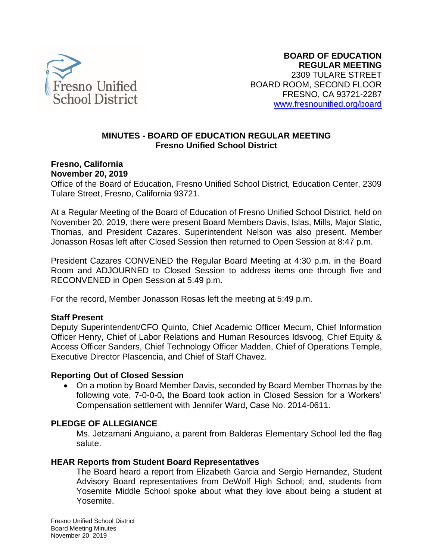

### **MINUTES - BOARD OF EDUCATION REGULAR MEETING Fresno Unified School District**

**Fresno, California** 

**November 20, 2019** 

Office of the Board of Education, Fresno Unified School District, Education Center, 2309 Tulare Street, Fresno, California 93721.

At a Regular Meeting of the Board of Education of Fresno Unified School District, held on November 20, 2019, there were present Board Members Davis, Islas, Mills, Major Slatic, Thomas, and President Cazares. Superintendent Nelson was also present. Member Jonasson Rosas left after Closed Session then returned to Open Session at 8:47 p.m.

 President Cazares CONVENED the Regular Board Meeting at 4:30 p.m. in the Board Room and ADJOURNED to Closed Session to address items one through five and RECONVENED in Open Session at 5:49 p.m.

For the record, Member Jonasson Rosas left the meeting at 5:49 p.m.

### **Staff Present**

 Officer Henry, Chief of Labor Relations and Human Resources Idsvoog, Chief Equity & Deputy Superintendent/CFO Quinto, Chief Academic Officer Mecum, Chief Information Access Officer Sanders, Chief Technology Officer Madden, Chief of Operations Temple, Executive Director Plascencia, and Chief of Staff Chavez.

#### **Reporting Out of Closed Session**

 • On a motion by Board Member Davis, seconded by Board Member Thomas by the following vote, 7-0-0-0**,** the Board took action in Closed Session for a Workers' Compensation settlement with Jennifer Ward, Case No. 2014-0611.

### **PLEDGE OF ALLEGIANCE**

 Ms. Jetzamani Anguiano, a parent from Balderas Elementary School led the flag salute.

### **HEAR Reports from Student Board Representatives**

 The Board heard a report from Elizabeth Garcia and Sergio Hernandez, Student Advisory Board representatives from DeWolf High School; and, students from Yosemite Middle School spoke about what they love about being a student at Yosemite.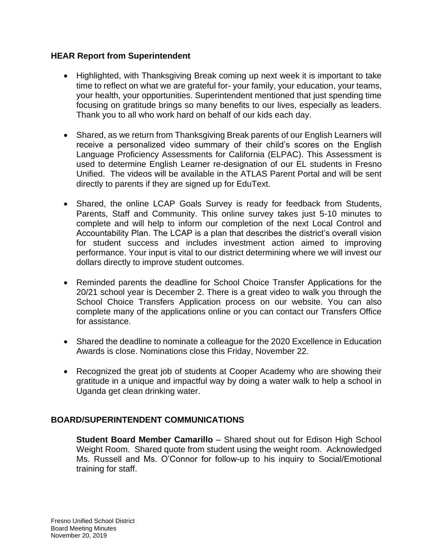## **HEAR Report from Superintendent**

- • Highlighted, with Thanksgiving Break coming up next week it is important to take time to reflect on what we are grateful for- your family, your education, your teams, focusing on gratitude brings so many benefits to our lives, especially as leaders. your health, your opportunities. Superintendent mentioned that just spending time Thank you to all who work hard on behalf of our kids each day.
- • Shared, as we return from Thanksgiving Break parents of our English Learners will receive a personalized video summary of their child's scores on the English used to determine English Learner re-designation of our EL students in Fresno Unified. The videos will be available in the ATLAS Parent Portal and will be sent Language Proficiency Assessments for California (ELPAC). This Assessment is directly to parents if they are signed up for EduText.
- • Shared, the online LCAP Goals Survey is ready for feedback from Students, Parents, Staff and Community. This online survey takes just 5-10 minutes to complete and will help to inform our completion of the next Local Control and Accountability Plan. The LCAP is a plan that describes the district's overall vision for student success and includes investment action aimed to improving performance. Your input is vital to our district determining where we will invest our dollars directly to improve student outcomes.
- • Reminded parents the deadline for School Choice Transfer Applications for the 20/21 school year is December 2. There is a great video to walk you through the School Choice Transfers Application process on our website. You can also complete many of the applications online or you can contact our Transfers Office for assistance.
- • Shared the deadline to nominate a colleague for the 2020 Excellence in Education Awards is close. Nominations close this Friday, November 22.
- • Recognized the great job of students at Cooper Academy who are showing their gratitude in a unique and impactful way by doing a water walk to help a school in Uganda get clean drinking water.

## **BOARD/SUPERINTENDENT COMMUNICATIONS**

 **Student Board Member Camarillo** – Shared shout out for Edison High School Weight Room. Shared quote from student using the weight room. Acknowledged Ms. Russell and Ms. O'Connor for follow-up to his inquiry to Social/Emotional training for staff.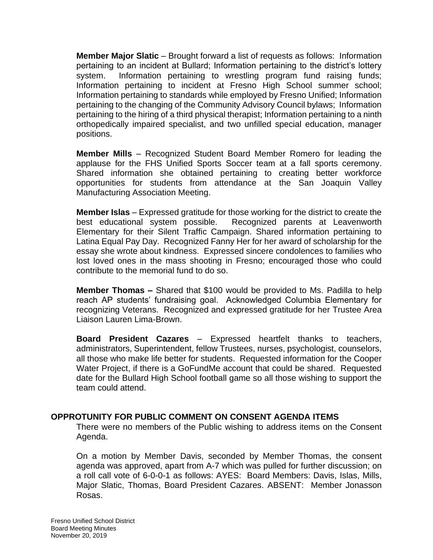pertaining to an incident at Bullard; Information pertaining to the district's lottery system. Information pertaining to wrestling program fund raising funds; Information pertaining to incident at Fresno High School summer school; Information pertaining to standards while employed by Fresno Unified; Information pertaining to the changing of the Community Advisory Council bylaws; Information pertaining to the hiring of a third physical therapist; Information pertaining to a ninth orthopedically impaired specialist, and two unfilled special education, manager **Member Major Slatic** – Brought forward a list of requests as follows: Information positions.

 **Member Mills** – Recognized Student Board Member Romero for leading the applause for the FHS Unified Sports Soccer team at a fall sports ceremony. Shared information she obtained pertaining to creating better workforce opportunities for students from attendance at the San Joaquin Valley Manufacturing Association Meeting.

 **Member Islas** – Expressed gratitude for those working for the district to create the Elementary for their Silent Traffic Campaign. Shared information pertaining to Latina Equal Pay Day. Recognized Fanny Her for her award of scholarship for the essay she wrote about kindness. Expressed sincere condolences to families who lost loved ones in the mass shooting in Fresno; encouraged those who could contribute to the memorial fund to do so. best educational system possible. Recognized parents at Leavenworth

 **Member Thomas –** Shared that \$100 would be provided to Ms. Padilla to help reach AP students' fundraising goal. Acknowledged Columbia Elementary for recognizing Veterans. Recognized and expressed gratitude for her Trustee Area Liaison Lauren Lima-Brown.

 **Board President Cazares** – Expressed heartfelt thanks to teachers, Water Project, if there is a GoFundMe account that could be shared. Requested date for the Bullard High School football game so all those wishing to support the administrators, Superintendent, fellow Trustees, nurses, psychologist, counselors, all those who make life better for students. Requested information for the Cooper team could attend.

## **OPPROTUNITY FOR PUBLIC COMMENT ON CONSENT AGENDA ITEMS**

 There were no members of the Public wishing to address items on the Consent Agenda.

 On a motion by Member Davis, seconded by Member Thomas, the consent a roll call vote of 6-0-0-1 as follows: AYES: Board Members: Davis, Islas, Mills, agenda was approved, apart from A-7 which was pulled for further discussion; on Major Slatic, Thomas, Board President Cazares. ABSENT: Member Jonasson Rosas.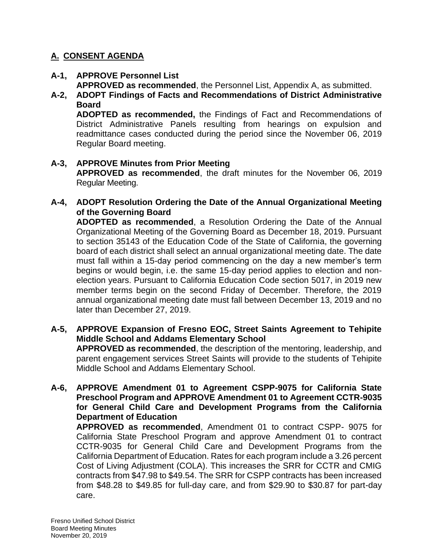# **A. CONSENT AGENDA**

- **A-1, APPROVE Personnel List APPROVED as recommended**, the Personnel List, Appendix A, as submitted.
- **A-2, ADOPT Findings of Facts and Recommendations of District Administrative Board**

 **ADOPTED as recommended,** the Findings of Fact and Recommendations of District Administrative Panels resulting from hearings on expulsion and readmittance cases conducted during the period since the November 06, 2019 Regular Board meeting.

 **APPROVED as recommended**, the draft minutes for the November 06, 2019 **A-3, APPROVE Minutes from Prior Meeting**  Regular Meeting.

## **A-4, ADOPT Resolution Ordering the Date of the Annual Organizational Meeting of the Governing Board**

 **ADOPTED as recommended**, a Resolution Ordering the Date of the Annual Organizational Meeting of the Governing Board as December 18, 2019. Pursuant to section 35143 of the Education Code of the State of California, the governing board of each district shall select an annual organizational meeting date. The date must fall within a 15-day period commencing on the day a new member's term begins or would begin, i.e. the same 15-day period applies to election and non- election years. Pursuant to California Education Code section 5017, in 2019 new member terms begin on the second Friday of December. Therefore, the 2019 annual organizational meeting date must fall between December 13, 2019 and no later than December 27, 2019.

#### **A-5, APPROVE Expansion of Fresno EOC, Street Saints Agreement to Tehipite APPROVED as recommended**, the description of the mentoring, leadership, and parent engagement services Street Saints will provide to the students of Tehipite **Middle School and Addams Elementary School**  Middle School and Addams Elementary School.

## **A-6, APPROVE Amendment 01 to Agreement CSPP-9075 for California State Preschool Program and APPROVE Amendment 01 to Agreement CCTR-9035 for General Child Care and Development Programs from the California Department of Education**

 **APPROVED as recommended**, Amendment 01 to contract CSPP- 9075 for California State Preschool Program and approve Amendment 01 to contract CCTR-9035 for General Child Care and Development Programs from the California Department of Education. Rates for each program include a 3.26 percent Cost of Living Adjustment (COLA). This increases the SRR for CCTR and CMIG contracts from \$47.98 to \$49.54. The SRR for CSPP contracts has been increased from \$48.28 to \$49.85 for full-day care, and from \$29.90 to \$30.87 for part-day care.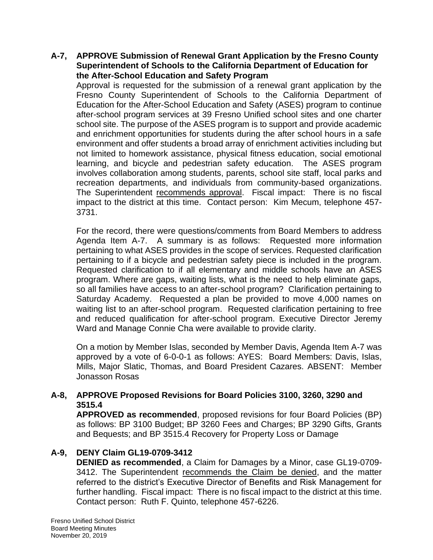### **A-7, APPROVE Submission of Renewal Grant Application by the Fresno County Superintendent of Schools to the California Department of Education for the After-School Education and Safety Program**

 Approval is requested for the submission of a renewal grant application by the Fresno County Superintendent of Schools to the California Department of Education for the After-School Education and Safety (ASES) program to continue after-school program services at 39 Fresno Unified school sites and one charter school site. The purpose of the ASES program is to support and provide academic and enrichment opportunities for students during the after school hours in a safe environment and offer students a broad array of enrichment activities including but not limited to homework assistance, physical fitness education, social emotional learning, and bicycle and pedestrian safety education. The ASES program involves collaboration among students, parents, school site staff, local parks and recreation departments, and individuals from community-based organizations. recreation departments, and individuals from community-based organizations.<br>The Superintendent <u>recommends approval</u>. Fiscal impact: There is no fiscal impact to the district at this time. Contact person: Kim Mecum, telephone 457- 3731.

 For the record, there were questions/comments from Board Members to address Agenda Item A-7. A summary is as follows: Requested more information pertaining to what ASES provides in the scope of services. Requested clarification pertaining to if a bicycle and pedestrian safety piece is included in the program. Requested clarification to if all elementary and middle schools have an ASES program. Where are gaps, waiting lists, what is the need to help eliminate gaps, so all families have access to an after-school program? Clarification pertaining to Saturday Academy. Requested a plan be provided to move 4,000 names on waiting list to an after-school program. Requested clarification pertaining to free and reduced qualification for after-school program. Executive Director Jeremy Ward and Manage Connie Cha were available to provide clarity.

 On a motion by Member Islas, seconded by Member Davis, Agenda Item A-7 was approved by a vote of 6-0-0-1 as follows: AYES: Board Members: Davis, Islas, Mills, Major Slatic, Thomas, and Board President Cazares. ABSENT: Member Jonasson Rosas

## **A-8, APPROVE Proposed Revisions for Board Policies 3100, 3260, 3290 and 3515.4**

 as follows: BP 3100 Budget; BP 3260 Fees and Charges; BP 3290 Gifts, Grants **APPROVED as recommended**, proposed revisions for four Board Policies (BP) and Bequests; and BP 3515.4 Recovery for Property Loss or Damage

## **A-9, DENY Claim GL19-0709-3412**

 **DENIED as recommended**, a Claim for Damages by a Minor, case GL19-0709- 3412. The Superintendent recommends the Claim be denied, and the matter referred to the district's Executive Director of Benefits and Risk Management for further handling. Fiscal impact: There is no fiscal impact to the district at this time. Contact person: Ruth F. Quinto, telephone 457-6226.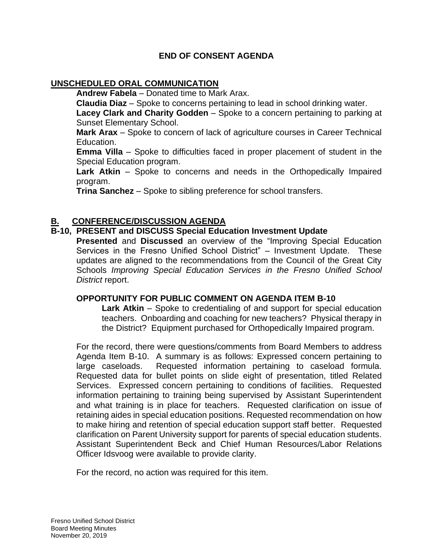## **END OF CONSENT AGENDA**

### **UNSCHEDULED ORAL COMMUNICATION**

**Andrew Fabela** – Donated time to Mark Arax.

**Claudia Diaz** – Spoke to concerns pertaining to lead in school drinking water.

Lacey Clark and Charity Godden – Spoke to a concern pertaining to parking at Sunset Elementary School.

 **Mark Arax** – Spoke to concern of lack of agriculture courses in Career Technical Education.

 **Emma Villa** – Spoke to difficulties faced in proper placement of student in the Special Education program.

 **Lark Atkin** – Spoke to concerns and needs in the Orthopedically Impaired program.

**Trina Sanchez** – Spoke to sibling preference for school transfers.

## **CONFERENCE/DISCUSSION AGENDA**

### **B-10, PRESENT and DISCUSS Special Education Investment Update**

 **Presented** and **Discussed** an overview of the "Improving Special Education Services in the Fresno Unified School District" – Investment Update. These updates are aligned to the recommendations from the Council of the Great City  Schools *Improving Special Education Services in the Fresno Unified School District* report.

### **OPPORTUNITY FOR PUBLIC COMMENT ON AGENDA ITEM B-10**

 **Lark Atkin** – Spoke to credentialing of and support for special education teachers. Onboarding and coaching for new teachers? Physical therapy in the District? Equipment purchased for Orthopedically Impaired program.

 For the record, there were questions/comments from Board Members to address Agenda Item B-10. A summary is as follows: Expressed concern pertaining to large caseloads. Requested information pertaining to caseload formula. Requested data for bullet points on slide eight of presentation, titled Related Services. Expressed concern pertaining to conditions of facilities. Requested information pertaining to training being supervised by Assistant Superintendent and what training is in place for teachers. Requested clarification on issue of retaining aides in special education positions. Requested recommendation on how to make hiring and retention of special education support staff better. Requested clarification on Parent University support for parents of special education students. Assistant Superintendent Beck and Chief Human Resources/Labor Relations Officer Idsvoog were available to provide clarity.

For the record, no action was required for this item.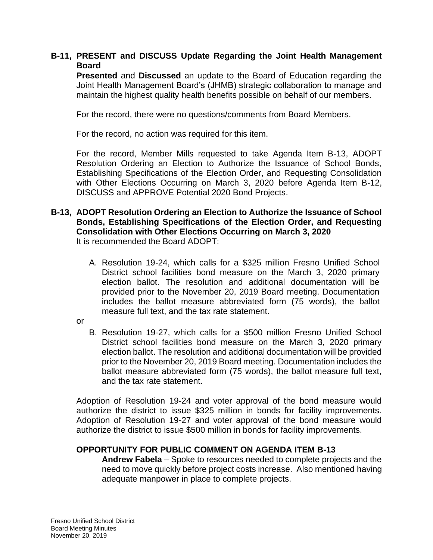## **B-11, PRESENT and DISCUSS Update Regarding the Joint Health Management Board**

 **Presented** and **Discussed** an update to the Board of Education regarding the Joint Health Management Board's (JHMB) strategic collaboration to manage and maintain the highest quality health benefits possible on behalf of our members.<br>For the record, there were no questions/comments from Board Members.

For the record, no action was required for this item.

 For the record, Member Mills requested to take Agenda Item B-13, ADOPT Resolution Ordering an Election to Authorize the Issuance of School Bonds, Establishing Specifications of the Election Order, and Requesting Consolidation with Other Elections Occurring on March 3, 2020 before Agenda Item B-12, DISCUSS and APPROVE Potential 2020 Bond Projects.

### **B-13, ADOPT Resolution Ordering an Election to Authorize the Issuance of School Bonds, Establishing Specifications of the Election Order, and Requesting Consolidation with Other Elections Occurring on March 3, 2020**  It is recommended the Board ADOPT:

- A. Resolution 19-24, which calls for a \$325 million Fresno Unified School District school facilities bond measure on the March 3, 2020 primary election ballot. The resolution and additional documentation will be provided prior to the November 20, 2019 Board meeting. Documentation includes the ballot measure abbreviated form (75 words), the ballot measure full text, and the tax rate statement.
- or
- B. Resolution 19-27, which calls for a \$500 million Fresno Unified School District school facilities bond measure on the March 3, 2020 primary election ballot. The resolution and additional documentation will be provided prior to the November 20, 2019 Board meeting. Documentation includes the ballot measure abbreviated form (75 words), the ballot measure full text, and the tax rate statement.

 Adoption of Resolution 19-24 and voter approval of the bond measure would authorize the district to issue \$325 million in bonds for facility improvements. Adoption of Resolution 19-27 and voter approval of the bond measure would authorize the district to issue \$500 million in bonds for facility improvements.

## **OPPORTUNITY FOR PUBLIC COMMENT ON AGENDA ITEM B-13**

 **Andrew Fabela** – Spoke to resources needed to complete projects and the need to move quickly before project costs increase. Also mentioned having adequate manpower in place to complete projects. Fresno Unified School District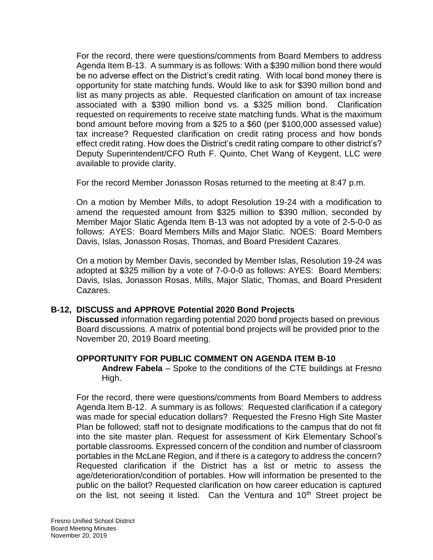For the record, there were questions/comments from Board Members to address Agenda Item B-13. A summary is as follows: With a \$390 million bond there would be no adverse effect on the District's credit rating. With local bond money there is opportunity for state matching funds. Would like to ask for \$390 million bond and list as many projects as able. Requested clarification on amount of tax increase associated with a \$390 million bond vs. a \$325 million bond. Clarification requested on requirements to receive state matching funds. What is the maximum bond amount before moving from a \$25 to a \$60 (per \$100,000 assessed value) tax increase? Requested clarification on credit rating process and how bonds effect credit rating. How does the District's credit rating compare to other district's? Deputy Superintendent/CFO Ruth F. Quinto, Chet Wang of Keygent, LLC were available to provide clarity.

For the record Member Jonasson Rosas returned to the meeting at 8:47 p.m.

 On a motion by Member Mills, to adopt Resolution 19-24 with a modification to amend the requested amount from \$325 million to \$390 million, seconded by Member Major Slatic Agenda Item B-13 was not adopted by a vote of 2-5-0-0 as follows: AYES: Board Members Mills and Major Slatic. NOES: Board Members Davis, Islas, Jonasson Rosas, Thomas, and Board President Cazares.

 On a motion by Member Davis, seconded by Member Islas, Resolution 19-24 was adopted at \$325 million by a vote of 7-0-0-0 as follows: AYES: Board Members: Davis, Islas, Jonasson Rosas, Mills, Major Slatic, Thomas, and Board President Cazares.

## **B-12, DISCUSS and APPROVE Potential 2020 Bond Projects**

 **Discussed** information regarding potential 2020 bond projects based on previous Board discussions. A matrix of potential bond projects will be provided prior to the November 20, 2019 Board meeting.

### **OPPORTUNITY FOR PUBLIC COMMENT ON AGENDA ITEM B-10**

 **Andrew Fabela** – Spoke to the conditions of the CTE buildings at Fresno High.

 For the record, there were questions/comments from Board Members to address Agenda Item B-12. A summary is as follows: Requested clarification if a category was made for special education dollars? Requested the Fresno High Site Master Plan be followed; staff not to designate modifications to the campus that do not fit into the site master plan. Request for assessment of Kirk Elementary School's portable classrooms. Expressed concern of the condition and number of classroom portables in the McLane Region, and if there is a category to address the concern? Requested clarification if the District has a list or metric to assess the age/deterioration/condition of portables. How will information be presented to the public on the ballot? Requested clarification on how career education is captured on the list, not seeing it listed. Can the Ventura and 10<sup>th</sup> Street project be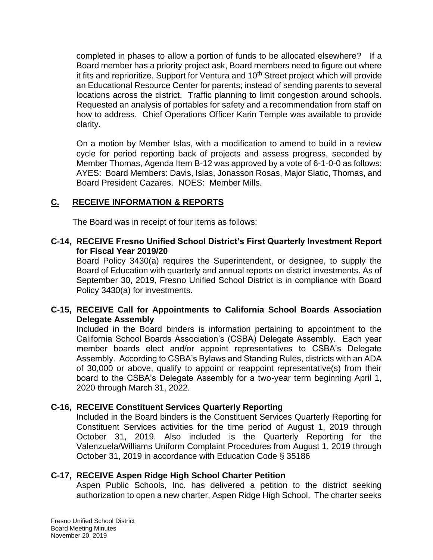completed in phases to allow a portion of funds to be allocated elsewhere? If a Board member has a priority project ask, Board members need to figure out where it fits and reprioritize. Support for Ventura and 10<sup>th</sup> Street project which will provide an Educational Resource Center for parents; instead of sending parents to several locations across the district. Traffic planning to limit congestion around schools. Requested an analysis of portables for safety and a recommendation from staff on how to address. Chief Operations Officer Karin Temple was available to provide clarity.

 On a motion by Member Islas, with a modification to amend to build in a review cycle for period reporting back of projects and assess progress, seconded by Member Thomas, Agenda Item B-12 was approved by a vote of 6-1-0-0 as follows: Board President Cazares. NOES: Member Mills. AYES: Board Members: Davis, Islas, Jonasson Rosas, Major Slatic, Thomas, and

# **C. RECEIVE INFORMATION & REPORTS**

The Board was in receipt of four items as follows:

### **C-14, RECEIVE Fresno Unified School District's First Quarterly Investment Report for Fiscal Year 2019/20**

 Board Policy 3430(a) requires the Superintendent, or designee, to supply the Board of Education with quarterly and annual reports on district investments. As of September 30, 2019, Fresno Unified School District is in compliance with Board Policy 3430(a) for investments.

## **C-15, RECEIVE Call for Appointments to California School Boards Association Delegate Assembly**

 Included in the Board binders is information pertaining to appointment to the California School Boards Association's (CSBA) Delegate Assembly. Each year Assembly. According to CSBA's Bylaws and Standing Rules, districts with an ADA of 30,000 or above, qualify to appoint or reappoint representative(s) from their board to the CSBA's Delegate Assembly for a two-year term beginning April 1, member boards elect and/or appoint representatives to CSBA's Delegate 2020 through March 31, 2022.

## **C-16, RECEIVE Constituent Services Quarterly Reporting**

 Included in the Board binders is the Constituent Services Quarterly Reporting for Constituent Services activities for the time period of August 1, 2019 through October 31, 2019. Also included is the Quarterly Reporting for the Valenzuela/Williams Uniform Complaint Procedures from August 1, 2019 through October 31, 2019 in accordance with Education Code § 35186

## **C-17, RECEIVE Aspen Ridge High School Charter Petition**

 Aspen Public Schools, Inc. has delivered a petition to the district seeking authorization to open a new charter, Aspen Ridge High School. The charter seeks